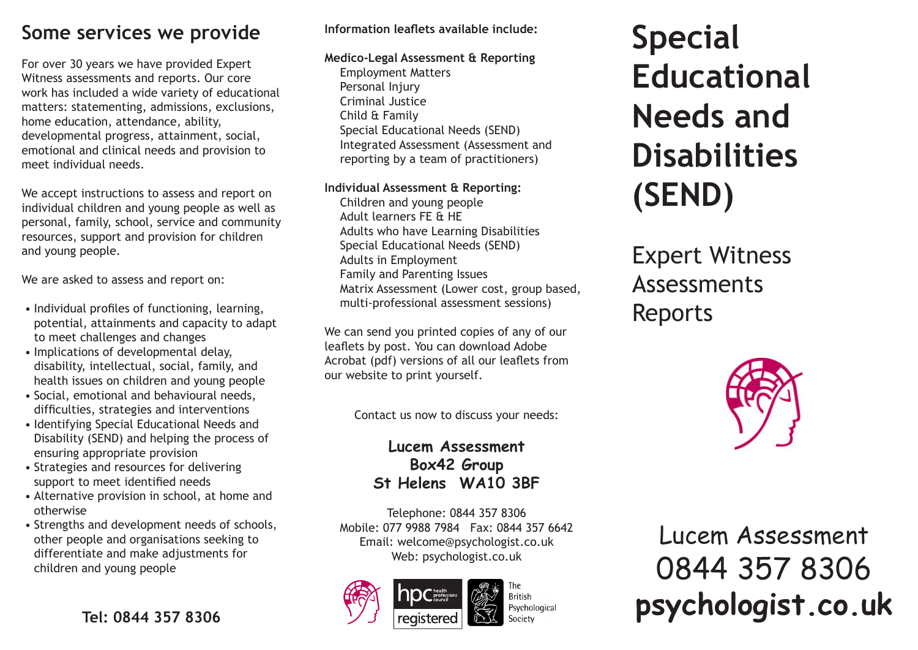# **Some services we provide**

For over 30 years we have provided Expert Witness assessments and reports. Our core work has included a wide variety of educational matters: statementing, admissions, exclusions, home education, attendance, ability, developmental progress, attainment, social, emotional and clinical needs and provision to meet individual needs.

We accept instructions to assess and report on individual children and young people as well as personal, family, school, service and community resources, support and provision for children and young people.

We are asked to assess and report on:

- Individual profiles of functioning, learning, potential, attainments and capacity to adapt to meet challenges and changes
- Implications of developmental delay, disability, intellectual, social, family, and health issues on children and young people
- Social, emotional and behavioural needs, difficulties, strategies and interventions
- Identifying Special Educational Needs and Disability (SEND) and helping the process of ensuring appropriate provision
- Strategies and resources for delivering support to meet identified needs
- Alternative provision in school, at home and otherwise
- Strengths and development needs of schools, other people and organisations seeking to differentiate and make adjustments for children and young people

## **Information leaflets available include:**

#### **Medico-Legal Assessment & Reporting**

Employment Matters Personal Injury Criminal Justice Child & Family Special Educational Needs (SEND) Integrated Assessment (Assessment and reporting by a team of practitioners)

### **Individual Assessment & Reporting:**

Children and young people Adult learners FE & HE Adults who have Learning Disabilities Special Educational Needs (SEND) Adults in Employment Family and Parenting Issues Matrix Assessment (Lower cost, group based, multi-professional assessment sessions)

We can send you printed copies of any of our leaflets by post. You can download Adobe Acrobat (pdf) versions of all our leaflets from our website to print yourself.

Contact us now to discuss your needs:

## **Lucem Assessment Box42 Group St Helens WA10 3BF**

Telephone: 0844 357 8306 Mobile: 077 9988 7984 Fax: 0844 357 6642 Email: welcome@psychologist.co.uk Web: psychologist.co.uk





**Special Educational Needs and Disabilities (SEND)**

# Expert Witness Assessments Reports



Lucem Assessment 0844 357 8306 **psychologist.co.uk**